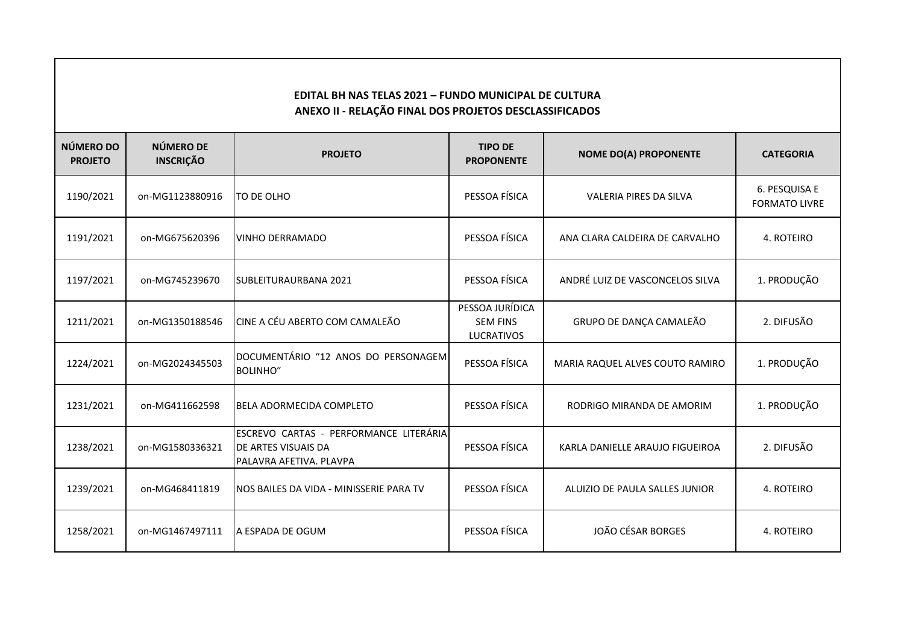## **EDITAL BH NAS TELAS 2021 – FUNDO MUNICIPAL DE CULTURA ANEXO II - RELAÇÃO FINAL DOS PROJETOS DESCLASSIFICADOS**

| NÚMERO DO<br><b>PROJETO</b> | NÚMERO DE<br><b>INSCRIÇÃO</b> | <b>PROJETO</b>                                                                           | <b>TIPO DE</b><br><b>PROPONENTE</b>                     | <b>NOME DO(A) PROPONENTE</b>    | <b>CATEGORIA</b>                      |
|-----------------------------|-------------------------------|------------------------------------------------------------------------------------------|---------------------------------------------------------|---------------------------------|---------------------------------------|
| 1190/2021                   | on-MG1123880916               | TO DE OLHO                                                                               | PESSOA FÍSICA                                           | <b>VALERIA PIRES DA SILVA</b>   | 6. PESQUISA E<br><b>FORMATO LIVRE</b> |
| 1191/2021                   | on-MG675620396                | <b>VINHO DERRAMADO</b>                                                                   | PESSOA FÍSICA                                           | ANA CLARA CALDEIRA DE CARVALHO  | 4. ROTEIRO                            |
| 1197/2021                   | on-MG745239670                | SUBLEITURAURBANA 2021                                                                    | PESSOA FÍSICA                                           | ANDRÉ LUIZ DE VASCONCELOS SILVA | 1. PRODUÇÃO                           |
| 1211/2021                   | on-MG1350188546               | CINE A CÉU ABERTO COM CAMALEÃO                                                           | PESSOA JURÍDICA<br><b>SEM FINS</b><br><b>LUCRATIVOS</b> | GRUPO DE DANÇA CAMALEÃO         | 2. DIFUSÃO                            |
| 1224/2021                   | on-MG2024345503               | DOCUMENTÁRIO "12 ANOS DO PERSONAGEM<br><b>BOLINHO"</b>                                   | PESSOA FÍSICA                                           | MARIA RAQUEL ALVES COUTO RAMIRO | 1. PRODUÇÃO                           |
| 1231/2021                   | on-MG411662598                | BELA ADORMECIDA COMPLETO                                                                 | PESSOA FÍSICA                                           | RODRIGO MIRANDA DE AMORIM       | 1. PRODUÇÃO                           |
| 1238/2021                   | on-MG1580336321               | ESCREVO CARTAS - PERFORMANCE LITERÁRIA<br>DE ARTES VISUAIS DA<br>PALAVRA AFETIVA. PLAVPA | PESSOA FÍSICA                                           | KARLA DANIELLE ARAUJO FIGUEIROA | 2. DIFUSÃO                            |
| 1239/2021                   | on-MG468411819                | INOS BAILES DA VIDA - MINISSERIE PARA TV                                                 | PESSOA FÍSICA                                           | ALUIZIO DE PAULA SALLES JUNIOR  | 4. ROTEIRO                            |
| 1258/2021                   | on-MG1467497111               | A ESPADA DE OGUM                                                                         | PESSOA FÍSICA                                           | JOÃO CÉSAR BORGES               | 4. ROTEIRO                            |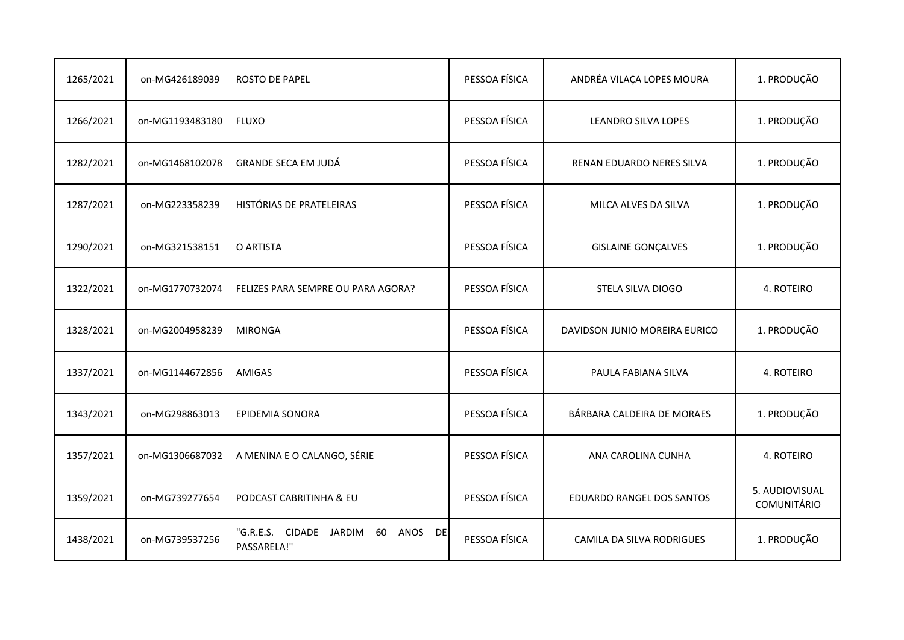| 1265/2021 | on-MG426189039  | <b>ROSTO DE PAPEL</b>                                                | PESSOA FÍSICA | ANDRÉA VILAÇA LOPES MOURA        | 1. PRODUÇÃO                          |
|-----------|-----------------|----------------------------------------------------------------------|---------------|----------------------------------|--------------------------------------|
| 1266/2021 | on-MG1193483180 | <b>FLUXO</b>                                                         | PESSOA FÍSICA | LEANDRO SILVA LOPES              | 1. PRODUÇÃO                          |
| 1282/2021 | on-MG1468102078 | <b>GRANDE SECA EM JUDÁ</b>                                           | PESSOA FÍSICA | RENAN EDUARDO NERES SILVA        | 1. PRODUÇÃO                          |
| 1287/2021 | on-MG223358239  | <b>HISTÓRIAS DE PRATELEIRAS</b>                                      | PESSOA FÍSICA | MILCA ALVES DA SILVA             | 1. PRODUÇÃO                          |
| 1290/2021 | on-MG321538151  | O ARTISTA                                                            | PESSOA FÍSICA | <b>GISLAINE GONÇALVES</b>        | 1. PRODUÇÃO                          |
| 1322/2021 | on-MG1770732074 | FELIZES PARA SEMPRE OU PARA AGORA?                                   | PESSOA FÍSICA | STELA SILVA DIOGO                | 4. ROTEIRO                           |
| 1328/2021 | on-MG2004958239 | <b>MIRONGA</b>                                                       | PESSOA FÍSICA | DAVIDSON JUNIO MOREIRA EURICO    | 1. PRODUÇÃO                          |
| 1337/2021 | on-MG1144672856 | <b>AMIGAS</b>                                                        | PESSOA FÍSICA | PAULA FABIANA SILVA              | 4. ROTEIRO                           |
| 1343/2021 | on-MG298863013  | <b>EPIDEMIA SONORA</b>                                               | PESSOA FÍSICA | BÁRBARA CALDEIRA DE MORAES       | 1. PRODUÇÃO                          |
| 1357/2021 | on-MG1306687032 | A MENINA E O CALANGO, SÉRIE                                          | PESSOA FÍSICA | ANA CAROLINA CUNHA               | 4. ROTEIRO                           |
| 1359/2021 | on-MG739277654  | PODCAST CABRITINHA & EU                                              | PESSOA FÍSICA | EDUARDO RANGEL DOS SANTOS        | 5. AUDIOVISUAL<br><b>COMUNITÁRIO</b> |
| 1438/2021 | on-MG739537256  | "G.R.E.S. CIDADE<br>JARDIM<br>60<br>ANOS<br><b>DE</b><br>PASSARELA!" | PESSOA FÍSICA | <b>CAMILA DA SILVA RODRIGUES</b> | 1. PRODUÇÃO                          |